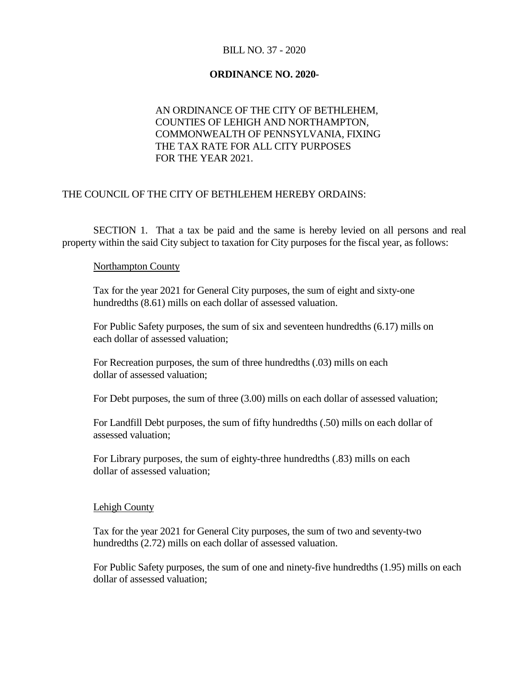## BILL NO. 37 - 2020

#### **ORDINANCE NO. 2020-**

# AN ORDINANCE OF THE CITY OF BETHLEHEM, COUNTIES OF LEHIGH AND NORTHAMPTON, COMMONWEALTH OF PENNSYLVANIA, FIXING THE TAX RATE FOR ALL CITY PURPOSES FOR THE YEAR 2021.

### THE COUNCIL OF THE CITY OF BETHLEHEM HEREBY ORDAINS:

SECTION 1. That a tax be paid and the same is hereby levied on all persons and real property within the said City subject to taxation for City purposes for the fiscal year, as follows:

#### Northampton County

Tax for the year 2021 for General City purposes, the sum of eight and sixty-one hundredths (8.61) mills on each dollar of assessed valuation.

For Public Safety purposes, the sum of six and seventeen hundredths (6.17) mills on each dollar of assessed valuation;

For Recreation purposes, the sum of three hundredths (.03) mills on each dollar of assessed valuation;

For Debt purposes, the sum of three (3.00) mills on each dollar of assessed valuation;

For Landfill Debt purposes, the sum of fifty hundredths (.50) mills on each dollar of assessed valuation;

For Library purposes, the sum of eighty-three hundredths (.83) mills on each dollar of assessed valuation;

#### Lehigh County

Tax for the year 2021 for General City purposes, the sum of two and seventy-two hundredths (2.72) mills on each dollar of assessed valuation.

For Public Safety purposes, the sum of one and ninety-five hundredths (1.95) mills on each dollar of assessed valuation;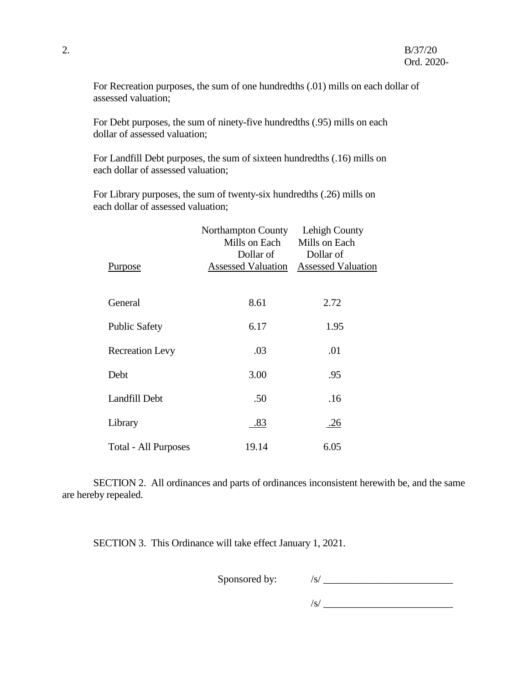For Recreation purposes, the sum of one hundredths (.01) mills on each dollar of assessed valuation;

For Debt purposes, the sum of ninety-five hundredths (.95) mills on each dollar of assessed valuation;

For Landfill Debt purposes, the sum of sixteen hundredths (.16) mills on each dollar of assessed valuation;

For Library purposes, the sum of twenty-six hundredths (.26) mills on each dollar of assessed valuation;

|                        | Northampton County<br>Mills on Each    | Lehigh County<br>Mills on Each         |
|------------------------|----------------------------------------|----------------------------------------|
| Purpose                | Dollar of<br><b>Assessed Valuation</b> | Dollar of<br><b>Assessed Valuation</b> |
| General                | 8.61                                   | 2.72                                   |
| <b>Public Safety</b>   | 6.17                                   | 1.95                                   |
| <b>Recreation Levy</b> | .03                                    | .01                                    |
| Debt                   | 3.00                                   | .95                                    |
| Landfill Debt          | .50                                    | .16                                    |
| Library                | .83                                    | .26                                    |
| Total - All Purposes   | 19.14                                  | 6.05                                   |

SECTION 2. All ordinances and parts of ordinances inconsistent herewith be, and the same are hereby repealed.

SECTION 3. This Ordinance will take effect January 1, 2021.

Sponsored by:  $\frac{|s|}{\sqrt{1 - \frac{1}{s}} \cdot \frac{|s|}{\sqrt{1 - \frac{1}{s}}}}$ 

 $\sqrt{s}$ /